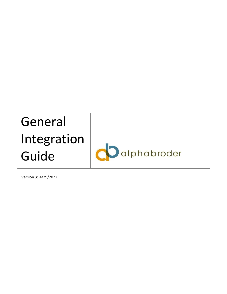# General Integration alphabroder Guide

Version 3: 4/29/2022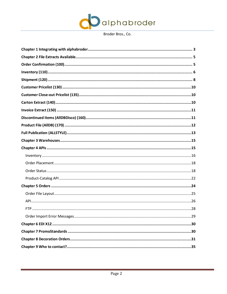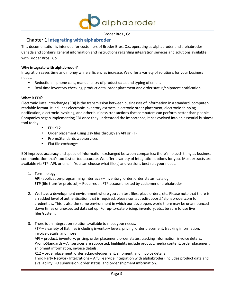

## Chapter 1 **Integrating with alphabroder**

<span id="page-2-0"></span>This documentation is intended for customers of Broder Bros. Co., operating as alphabroder and alphabroder Canada and contains general information and instructions regarding integration services and solutions available with Broder Bros., Co.

#### **Why integrate with alphabroder?**

Integration saves time and money while efficiencies increase. We offer a variety of solutions for your business needs.

- Reduction in phone calls, manual entry of product data, and typing of emails
- Real time inventory checking, product data, order placement and order status/shipment notification

#### **What is EDI?**

Electronic Data Interchange (EDI) is the transmission between businesses of information in a standard, computerreadable format. It includes electronic inventory extracts, electronic order placement, electronic shipping notification, electronic invoicing, and other business transactions that computers can perform better than people. Companies began implementing EDI once they understood the importance; it has evolved into an essential business tool today.

- EDI X12
- Order placement using .csv files through an API or FTP
- PromoStandards web services
- Flat file exchanges

EDI improves accuracy and speed of information exchanged between companies; there's no such thing as business communication that's too fast or too accurate. We offer a variety of integration options for you. Most extracts are available via FTP, API, or email. You can choose what file(s) and versions bestsuit your needs.

1. Terminology:

**API** (application-programming interface) – Inventory, order, order status, catalog **FTP** (file transfer protocol) – Requires an FTP account hosted by customer or alphabroder

- 2. We have a development environment where you can test files, place orders, etc. Please note that there is an added level of authentication that is required, please contact [edisupport@alphabroder.com f](mailto:edisupport@alphabroder.com)or credentials. This is also the same environment in which our developers work; there may be unannounced down times or unexpected data set up. For up-to-date pricing, inventory, etc.; be sure to use live files/system.
- 3. There is an integration solution available to meet your needs.

FTP – a variety of flat files including inventory levels, pricing, order placement, tracking information, invoice details, and more.

API – product, inventory, pricing, order placement, order status, tracking information, invoice details. PromoStandards – All services are supported; highlights include product, media content, order placement, shipment information, invoice details.

X12 – order placement, order acknowledgement, shipment, and invoice details

Third Party Network Integrations – A full-service integration with alphabroder (includes product data and availability, PO submission, order status, and order shipment information.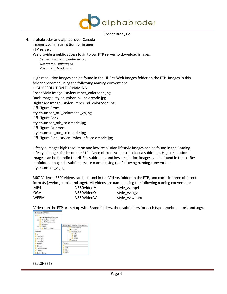

| 4. alphabroder and alphabroder Canada                                                                                                                |
|------------------------------------------------------------------------------------------------------------------------------------------------------|
| Images: Login Information for images                                                                                                                 |
| FTP server:                                                                                                                                          |
| We provide a public access login to our FTP server to download images.<br>Server: images.alphabroder.com<br>Username: BBimages<br>Password: brodimgs |
| High resolution images can be found in the Hi-Res Web Images folder on the FTP. Images in this                                                       |
| folder arenamed using the following naming conventions:                                                                                              |
| <b>HIGH RESOLUTION FILE NAMING</b>                                                                                                                   |
| Front Main Image: stylenumber_colorcode.jpg                                                                                                          |
| Back Image: stylenumber_bk_colorcode.jpg                                                                                                             |
| Right Side Image: stylenumber sd colorcode.jpg                                                                                                       |
| Off-Figure Front:                                                                                                                                    |
| stylenumber_of1_colorcode_vp.jpg                                                                                                                     |
| Off-Figure Back:                                                                                                                                     |
| stylenumber_ofb_colorcode.jpg                                                                                                                        |
| Off-Figure Quarter:                                                                                                                                  |
| stylenumber_ofq_colorcode.jpg                                                                                                                        |

Off-Figure Side: stylenumber\_ofs\_colorcode.jpg

Lifestyle Images high resolution and low-resolution lifestyle images can be found in the Catalog Lifestyle Images folder on the FTP. Once clicked, you must select a subfolder. High resolution images can be foundin the Hi-Res subfolder, and low-resolution images can be found in the Lo-Res subfolder. Images in subfolders are named using the following naming convention: stylenumber\_vl.jpg

360° Videos: 360° videos can be found in the Videos folder on the FTP, and come in three different formats (.webm, .mp4, and .ogv). All videos are named using the following naming convention:

| MP4         | V360VideoM | style w.mp4   |
|-------------|------------|---------------|
| 0GV         | V360VideoO | style vv.ogv  |
| <b>WEBM</b> | V360VideoW | style vv.webm |

Videos on the FTP are set up with Brand folders, then subfolders for each type: .webm, .mp4, and .ogv.



#### SELLSHEETS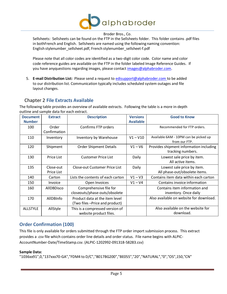

Sellsheets: Sellsheets can be found on the FTP in the Sellsheets folder. This folder contains .pdf files in bothFrench and English. Sellsheets are named using the following naming convention: English stylenumber\_sellsheet.pdf, French stylenumber\_sellsheet-f.pdf

Please note that all color codes are identified as a two-digit color code. Color name and color code reference guides are available on the FTP in the folder labeled Image Reference Guides. If you have anyquestions regarding images, please contact [images@alphabroder.com.](mailto:images@alphabroder.com)

5. **E-mail Distribution List:** Please send a request to [edisupport@alphabroder.com t](mailto:edisupport@alphabroder.com)o be added to our distribution list. Communication typically includes scheduled system outages and file layout changes.

## Chapter 2 **File Extracts Available**

<span id="page-4-0"></span>The following table provides an overview of available extracts. Following the table is a more in-depth outline and sample data for each extract.

| <b>Document</b><br><b>Number</b> | <b>Extract</b>          | <b>Description</b>                                                | <b>Versions</b><br><b>Available</b> | <b>Good to Know</b>                                          |
|----------------------------------|-------------------------|-------------------------------------------------------------------|-------------------------------------|--------------------------------------------------------------|
| 100                              | Order<br>Confirmation   | Confirms FTP orders                                               |                                     | Recommended for FTP orders.                                  |
| 110                              | Inventory               | Inventory by Warehouse                                            | $V1 - V10$                          | Available 6AM - 10PM can be picked up<br>from our FTP.       |
| 120                              | Shipment                | <b>Order Shipment Details</b>                                     | $V1 - V6$                           | Provides shipment information including<br>tracking numbers. |
| 130                              | Price List              | <b>Customer Price List</b>                                        | Daily                               | Lowest sale price by item.<br>All active items.              |
| 135                              | Close-out<br>Price List | Close-out Customer Price List                                     | Daily                               | Lowest sale price by item.<br>All phase-out/obsolete items.  |
| 140                              | Carton                  | Lists the contents of each carton                                 | $V1 - V3$                           | Contains item data within each carton                        |
| 150                              | Invoice                 | Open Invoices                                                     | $V1 - V4$                           | Contains invoice information                                 |
| 160                              | AllDBDisco              | Comprehensive file for<br>closeouts/phase-outs/obsolete           |                                     | Contains item information and<br>inventory. Once daily       |
| 170                              | AllDBInfo               | Product data at the item level<br>(Two files - Price and product) |                                     | Also available on website for download.                      |
| <b>ALLSTYLE</b>                  | AllStyle                | This is a compressed version of<br>website product files.         |                                     | Also available on the website for<br>download.               |

## <span id="page-4-1"></span>**Order Confirmation (100)**

This file is only available for orders submitted through the FTP order import submission process. This extract provides a .csv file which contains order line details and order status. File name begins with ALPIC-AccountNumber-Date/TimeStamp.csv. (ALPIC-1202992-091318-58283.csv)

#### **Sample Data:**

"1036xx91",0,"137xxx70-GA","FDM4 to D/C","B017BG200","BE055","20","NATURAL","0","OS",150,"CN"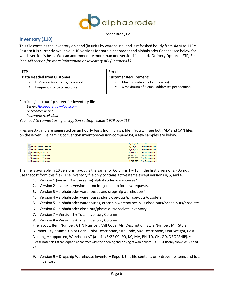

## <span id="page-5-0"></span>**Inventory (110)**

This file contains the inventory on hand (in units by warehouse) and is refreshed hourly from 4AM to 11PM Eastern.It is currently available in 10 versions for both alphabroder and alphabroder Canada; see below for which version is best. We can accommodate more than one version if needed. Delivery Options: FTP, Email (*See API section for more information on inventory API (Chapter 4).)*

| <b>FTP</b>                        | Email                                       |
|-----------------------------------|---------------------------------------------|
| Data Needed from Customer         | <b>Customer Requirement:</b>                |
| FTP server/username/password<br>٠ | Must provide email address(es).             |
| Frequency: once to multiple       | A maximum of 5 email addresses per account. |
|                                   |                                             |

Public login to our ftp server for inventory files:

*Server: [ftp.appareldownload.com](ftp://ftp.appareldownload.com/) Username: A1pha Password: A1pha2oll You need to connect using encryption setting - explicit FTP over TLS.*

Files are .txt and are generated on an hourly basis (no midnight file). You will see both ALP and CAN files on theserver. File naming convention inventory-version-company.txt, a few samples are below.

| $\Box$ inventory-v4-can.txt | 6,708,224 Text Document  |
|-----------------------------|--------------------------|
| inventory-v3-can.txt        | 6,305,792 Text Document  |
| inventory-v2-can.txt        | 6.191.104 Text Document  |
| inventory-can.txt           | 6,191,104 Text Document  |
| inventory-v8-alp.txt        | 24.416.135 Text Document |
| inventory-v7-alp.txt        | 23,689,368 Text Document |
| inventory-v6-alp.txt        | 1.642.320 Text Document  |

The file is available in 10 versions; layout is the same for Columns  $1 - 13$  in the first 8 versions. (Do not use thecost from this file). The inventory file only contains active items except versions 4, 5, and 6.

- 1. Version 1 (version 2 is the same) alphabroder warehouses\*
- 2. Version 2 same as version 1 no longer set up for new requests.
- 3. Version 3 alphabroder warehouses and dropship warehouses\*
- 4. Version 4 alphabroder warehouses plus close-outs/phase-outs/obsolete
- 5. Version 5 alphabroder warehouses, dropship warehouses plus close-outs/phase-outs/obsolete
- 6. Version 6 alphabroder close-out/phase-out/obsolete inventory
- 7. Version 7 Version 1 + Total Inventory Column
- 8. Version 8 Version 3 + Total Inventory Column

File layout: Item Number, GTIN Number, Mill Code, Mill Description, Style Number, Mill Style Number, StyleName, Color Code, Color Description, Size Code, Size Description, Unit Weight, Cost-No longer supported, Warehouses\* (as of 1/3/22 CC, FO, KC, MA, PH, TD, CN, GD, DROPSHIP). \* Please note this list can expand or contract with the opening and closing of warehouses. DROPSHIP only shows on V3 and V5.

9. Version 9 – Dropship Warehouse Inventory Report, this file contains only dropship items and total inventory.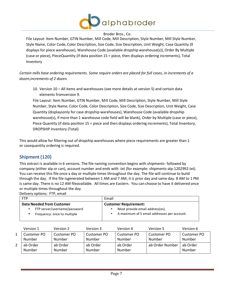

File Layout: Item Number, GTIN Number, Mill Code, Mill Description, Style Number, Mill Style Number, Style Name, Color Code, Color Description, Size Code, Size Description, Unit Weight, Case Quantity (0 displays for piece warehouse), Warehouse Code (available dropship warehouse(s)), Order By Multiple (case or piece), PieceQuantity (if data position 15 = piece, then displays ordering increments), Total Inventory

*Certain mills have ordering requirements. Some require orders are placed for full cases, in increments of a dozen,increments of 2 dozen.*

10. Version 10 – All items and warehouses (see more details at version 5) and certain data elements fromversion 9.

File Layout: Item Number, GTIN Number, Mill Code, Mill Description, Style Number, Mill Style Number, Style Name, Color Code, Color Description, Size Code, Size Description, Unit Weight, Case Quantity (displaysonly for case dropship warehouses), Warehouse Code (available dropship warehouse(s), if more than 1 warehouse code field will be blank), Order by Multiple (case or piece), Piece Quantity (if data position 15 = piece and then displays ordering increments), Total Inventory, DROPSHIP Inventory (Total)

<span id="page-6-0"></span>This would allow for filtering out of dropship warehouses where piece requirements are greater than 1 or casequantity ordering is required.

## **Shipment (120)**

This extract is available in 6 versions. The file naming convention begins with shipments- followed by company (either alp or can), account number and ends with .txt (for example: shipments-alp-1202992.txt). You can receive this file once a day or multiple times throughout the day. The file will continue to build through the day. If the file isgenerated between 1 AM and 7 AM; it is prior day and same day. 8 AM to 1 PM is same day. There is no 12 AM fileavailable. All times are Eastern. You can choose to have it delivered once or multiple times throughout the day.

Delivery options: FTP, email

| <b>FTP</b>                       | Email                                                    |
|----------------------------------|----------------------------------------------------------|
| <b>Data Needed from Customer</b> | <b>Customer Requirement:</b>                             |
| FTP server/username/password     | Must provide email address(es).<br>٠                     |
| Frequency: once to multiple      | A maximum of 5 email addresses per account.<br>$\bullet$ |

<span id="page-6-1"></span>

|   | Version 1             | Version 2             | Version 3             | Version 4             | Version 5             | Version 6             |
|---|-----------------------|-----------------------|-----------------------|-----------------------|-----------------------|-----------------------|
|   | Customer PO<br>Number | Customer PO<br>Number | Customer PO<br>Number | Customer PO<br>Number | Customer PO<br>Number | Customer PO<br>Number |
| ے | ab Order<br>Number    | ab Order<br>Number    | ab Order<br>Number    | ab Order<br>Number    | ab Order Number       | ab Order<br>Number    |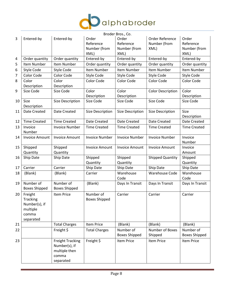

|    |                       |                         |                       | Broder Bros., Co.     |                          |                      |
|----|-----------------------|-------------------------|-----------------------|-----------------------|--------------------------|----------------------|
| 3  | Entered-by            | Entered-by              | Order                 | Order                 | Order Reference          | Order                |
|    |                       |                         | Reference             | Reference             | Number (from             | Reference            |
|    |                       |                         | Number (from          | Number (from          | XML)                     | Number (from         |
|    |                       |                         | XML)                  | XML)                  |                          | XML)                 |
| 4  | Order quantity        | Order quantity          | Entered-by            | Entered-by            | Entered-by               | Entered-by           |
| 5  | Item Number           | Item Number             | Order quantity        | Order quantity        | Order quantity           | Order quantity       |
| 6  | Style Code            | <b>Style Code</b>       | Item Number           | Item Number           | Item Number              | Item Number          |
| 7  | Color Code            | Color Code              | <b>Style Code</b>     | Style Code            | Style Code               | Style Code           |
| 8  | Color                 | Color                   | Color Code            | Color Code            | Color Code               | Color Code           |
|    | Description           | Description             |                       |                       |                          |                      |
| 9  | Size Code             | Size Code               | Color                 | Color                 | <b>Color Description</b> | Color                |
|    |                       |                         | Description           | Description           |                          | Description          |
| 10 | Size<br>Description   | Size Description        | Size Code             | Size Code             | Size Code                | Size Code            |
| 11 | Date Created          | Date Created            | Size Description      | Size Description      | Size Description         | Size                 |
|    |                       |                         |                       |                       |                          | Description          |
| 12 | <b>Time Created</b>   | <b>Time Created</b>     | Date Created          | Date Created          | <b>Date Created</b>      | Date Created         |
| 13 | Invoice               | <b>Invoice Number</b>   | <b>Time Created</b>   | <b>Time Created</b>   | <b>Time Created</b>      | <b>Time Created</b>  |
|    | Number                |                         |                       |                       |                          |                      |
| 14 | <b>Invoice Amount</b> | <b>Invoice Amount</b>   | <b>Invoice Number</b> | <b>Invoice Number</b> | <b>Invoice Number</b>    | Invoice              |
|    |                       |                         |                       |                       |                          | Number               |
| 15 | Shipped               | Shipped                 | <b>Invoice Amount</b> | <b>Invoice Amount</b> | <b>Invoice Amount</b>    | Invoice              |
|    | Quantity              | Quantity                |                       |                       |                          | Amount               |
| 16 | Ship Date             | Ship Date               | Shipped               | Shipped               | <b>Shipped Quantity</b>  | Shipped              |
|    |                       |                         | Quantity              | Quantity              |                          | Quantity             |
| 17 | Carrier               | Carrier                 | Ship Date             | Ship Date             | Ship Date                | Ship Date            |
| 18 | (Blank)               | (Blank)                 | Carrier               | Warehouse<br>Code     | <b>Warehouse Code</b>    | Warehouse<br>Code    |
| 19 | Number of             | Number of               | (Blank)               | Days In Transit       | Days In Transit          | Days In Transit      |
|    | <b>Boxes Shipped</b>  | <b>Boxes Shipped</b>    |                       |                       |                          |                      |
| 20 | Freight               | <b>Item Price</b>       | Number of             | Carrier               | Carrier                  | Carrier              |
|    | Tracking              |                         | <b>Boxes Shipped</b>  |                       |                          |                      |
|    | Number(s), if         |                         |                       |                       |                          |                      |
|    | multiple              |                         |                       |                       |                          |                      |
|    | comma                 |                         |                       |                       |                          |                      |
|    | separated             |                         |                       |                       |                          |                      |
| 21 |                       | <b>Total Charges</b>    | Item Price            | (Blank)               | (Blank)                  | (Blank)              |
| 22 |                       | Freight \$              | <b>Total Charges</b>  | Number of             | Number of Boxes          | Number of            |
|    |                       |                         |                       | <b>Boxes Shipped</b>  | Shipped                  | <b>Boxes Shipped</b> |
| 23 |                       | <b>Freight Tracking</b> | Freight \$            | <b>Item Price</b>     | Item Price               | Item Price           |
|    |                       | Number(s), if           |                       |                       |                          |                      |
|    |                       | multiple then           |                       |                       |                          |                      |
|    |                       | comma                   |                       |                       |                          |                      |
|    |                       | separated               |                       |                       |                          |                      |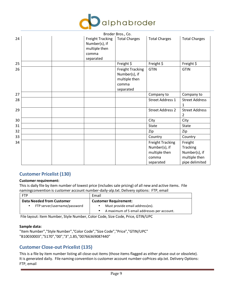

|    |                                                                                 | Broder Bros., Co.                                                               |                                                                                 |                                                                                |
|----|---------------------------------------------------------------------------------|---------------------------------------------------------------------------------|---------------------------------------------------------------------------------|--------------------------------------------------------------------------------|
| 24 | <b>Freight Tracking</b><br>Number(s), if<br>multiple then<br>comma<br>separated | <b>Total Charges</b>                                                            | <b>Total Charges</b>                                                            | <b>Total Charges</b>                                                           |
| 25 |                                                                                 | Freight \$                                                                      | Freight \$                                                                      | Freight \$                                                                     |
| 26 |                                                                                 | <b>Freight Tracking</b><br>Number(s), if<br>multiple then<br>comma<br>separated | <b>GTIN</b>                                                                     | <b>GTIN</b>                                                                    |
| 27 |                                                                                 |                                                                                 | Company to                                                                      | Company to                                                                     |
| 28 |                                                                                 |                                                                                 | <b>Street Address 1</b>                                                         | <b>Street Address</b><br>1                                                     |
| 29 |                                                                                 |                                                                                 | <b>Street Address 2</b>                                                         | <b>Street Address</b><br>2                                                     |
| 30 |                                                                                 |                                                                                 | City                                                                            | City                                                                           |
| 31 |                                                                                 |                                                                                 | State                                                                           | <b>State</b>                                                                   |
| 32 |                                                                                 |                                                                                 | Zip                                                                             | Zip                                                                            |
| 33 |                                                                                 |                                                                                 | Country                                                                         | Country                                                                        |
| 34 |                                                                                 |                                                                                 | <b>Freight Tracking</b><br>Number(s), if<br>multiple then<br>comma<br>separated | Freight<br><b>Tracking</b><br>Number(s), if<br>multiple then<br>pipe delimited |

## **Customer Pricelist (130)**

#### **Customer requirement:**

This is daily file by item number of lowest price (includes sale pricing) of all new and active items. File namingconvention is customer account number-daily-alp.txt. Delivery options: FTP, email

| <b>Customer Requirement:</b>                |
|---------------------------------------------|
| Must provide email address(es).             |
| A maximum of 5 email addresses per account. |
|                                             |

File layout: Item Number, Style Number, Color Code, Size Code, Price, GTIN/UPC

#### **Sample data:**

"Item Number","Style Number","Color Code","Size Code","Price","GTIN/UPC" "B10030003","5170","00","3",1.85,"00766369087440"

## <span id="page-8-0"></span>**Customer Close-out Pricelist (135)**

This is a file by item number listing all close-out items (those items flagged as either phase-out or obsolete). It is generated daily. File naming convention is customer account number-coPrices-alp.txt. Delivery Options: FTP, email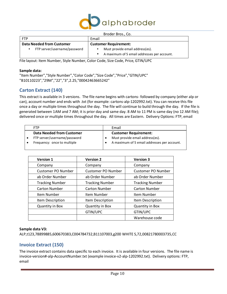

| Broder Bros., Co.                         |                                                          |  |  |
|-------------------------------------------|----------------------------------------------------------|--|--|
| <b>FTP</b>                                | Email                                                    |  |  |
| <b>Data Needed from Customer</b>          | <b>Customer Requirement:</b>                             |  |  |
| FTP server/username/password<br>$\bullet$ | Must provide email address(es).                          |  |  |
|                                           | A maximum of 5 email addresses per account.<br>$\bullet$ |  |  |

File layout: Item Number, Style Number, Color Code, Size Code, Price, GTIN/UPC

#### **Sample data:**

"Item Number","Style Number","Color Code","Size Code","Price","GTIN/UPC" "B10110223","29M","22","3",2.25,"00042463665242"

## <span id="page-9-0"></span>**Carton Extract (140)**

This extract is available in 3 versions. The file name begins with cartons- followed by company (either alp or can), account number and ends with .txt (for example: cartons-alp-1202992.txt). You can receive this file once a day or multiple times throughout the day. The file will continue to build through the day. If the file is generated between 1AM and 7 AM; it is prior day and same day. 8 AM to 11 PM is same day (no 12 AM file); delivered once or multiple times throughout the day. All times are Eastern. Delivery Options: FTP, email

| <b>FTP</b>                       | Email                                       |
|----------------------------------|---------------------------------------------|
| <b>Data Needed from Customer</b> | <b>Customer Requirement:</b>                |
| FTP server/username/password     | Must provide email address(es).             |
| Frequency: once to multiple      | A maximum of 5 email addresses per account. |

| <b>Version 1</b>          | <b>Version 2</b>          | <b>Version 3</b>          |
|---------------------------|---------------------------|---------------------------|
| Company                   | Company                   | Company                   |
| <b>Customer PO Number</b> | <b>Customer PO Number</b> | <b>Customer PO Number</b> |
| ab Order Number           | ab Order Number           | ab Order Number           |
| <b>Tracking Number</b>    | <b>Tracking Number</b>    | <b>Tracking Number</b>    |
| <b>Carton Number</b>      | <b>Carton Number</b>      | <b>Carton Number</b>      |
| Item Number               | Item Number               | Item Number               |
| Item Description          | Item Description          | Item Description          |
| <b>Quantity in Box</b>    | <b>Quantity in Box</b>    | <b>Quantity in Box</b>    |
|                           | GTIN/UPC                  | GTIN/UPC                  |
|                           |                           | Warehouse code            |

#### **Sample data V3:**

ALP,t123,78899885,600670383,C004784732,B11107003,g200 WHITE S,72,00821780003735,CC

## <span id="page-9-1"></span>**Invoice Extract (150)**

The invoice extract contains data specific to each invoice. It is available in four versions. The file name is invoice-version#-alp-AccountNumber.txt (example invoice-v2-alp-1202992.txt). Delivery options: FTP, email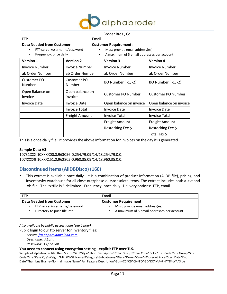

|                                                          |                       |                           | Broder Bros., Co.                           |                         |  |
|----------------------------------------------------------|-----------------------|---------------------------|---------------------------------------------|-------------------------|--|
| <b>FTP</b>                                               |                       |                           | Email                                       |                         |  |
| <b>Data Needed from Customer</b>                         |                       |                           | <b>Customer Requirement:</b>                |                         |  |
| FTP server/username/password<br>٠                        |                       |                           | Must provide email address(es).             |                         |  |
| Frequency: once daily<br>$\bullet$                       |                       |                           | A maximum of 5 email addresses per account. |                         |  |
| <b>Version 1</b>                                         | <b>Version 2</b>      |                           | <b>Version 3</b>                            | <b>Version 4</b>        |  |
| <b>Invoice Number</b>                                    | <b>Invoice Number</b> |                           | <b>Invoice Number</b>                       | <b>Invoice Number</b>   |  |
| ab Order Number                                          | ab Order Number       |                           | ab Order Number                             | ab Order Number         |  |
| Customer PO<br>Customer PO<br>Number<br>Number           |                       |                           | BO Number (-1, -2)                          | BO Number (-1, -2)      |  |
| Open Balance on<br>Open balance on<br>invoice<br>invoice |                       | <b>Customer PO Number</b> | Customer PO Number                          |                         |  |
| Invoice Date<br>Invoice Date                             |                       |                           | Open balance on invoice                     | Open balance on invoice |  |
|                                                          | <b>Invoice Total</b>  |                           | <b>Invoice Date</b>                         | <b>Invoice Date</b>     |  |
| <b>Freight Amount</b>                                    |                       |                           | <b>Invoice Total</b>                        | <b>Invoice Total</b>    |  |
|                                                          |                       |                           | <b>Freight Amount</b>                       | <b>Freight Amount</b>   |  |
|                                                          |                       |                           | Restocking Fee \$                           | Restocking Fee \$       |  |
|                                                          |                       |                           |                                             | Total Tax \$            |  |

This is a once-daily file. It provides the above information for invoices on the day it is generated.

#### **Sample Data V3:**

10731XXX,10XXXX00,0,963056-0,254.79,09/14/18,254.79,0,0, 107XXXX9,10XXX151,0,962805-0,960.35,09/14/18,960.35,0,0,

## <span id="page-10-0"></span>**Discontinued Items(AllDBDisco) (160)**

• This extract is available once daily. It is a combination of product information (AllDB file), pricing, and inventoryby warehouse for all close-out/phase-outs/obsolete items. The extract includes both a .txt and .xls file. The .txtfile is ^ delimited. Frequency: once daily. Delivery options: FTP, email

| <b>FTP</b>                                                            | Email                                                                                                    |  |
|-----------------------------------------------------------------------|----------------------------------------------------------------------------------------------------------|--|
| <b>Data Needed from Customer</b>                                      | <b>Customer Requirement:</b>                                                                             |  |
| FTP server/username/password<br>٠<br>Directory to push file into<br>٠ | Must provide email address(es).<br>$\bullet$<br>A maximum of 5 email addresses per account.<br>$\bullet$ |  |

*Also available by public access login (see below).*

Public login to our ftp server for inventory files:

*Server: [ftp.appareldownload.com](ftp://ftp.appareldownload.com/) Username: A1pha Password: A1pha2oll*

#### **You need to connect using encryption setting - explicit FTP over TLS.**

Sample of alphabroder file: Item Status^SKU^Style^Short Description^Color Group^Color Code^Color^Hex Code^Size Group^Size Code^Size^Case Qty^Weight^Mill #^Mill Name^Category^Subcategory^Piece^Dozen^Case^^Closeout Price^Start Date^End Date^ThumbnailName^Normal Image Name^Full Feature Description^Gtin^CC^CD^CN^FO^GD^KC^MA^PH^TD^WA^Side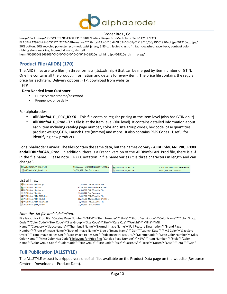

Image^Back Image^ OBSOLETE^B34324HI3^01910E^Ladies' Ringer Eco Mock Twist Tank^12^HI^ECO

BLACK^2A292C^28^3^S^72^.22^24^Alternative^T^Shirts^12.45^10.44^8.03^^0^09/01/18^10/06/19^01910e\_t.jpg^01910e\_p.jpg^ 50% cotton, 50% recycled polyester eco-mock twist jersey; 3.83 oz.; ladies' classic fit; fabric-washed; racerback; contrast color ribbing along neckline; tapered at waist; shirttail

hem;^00607048566903^0^0^0^0^0^0^0^0^0^0^5^01910e\_sd\_hi\_p.jpg^01910e\_bk\_hi\_p.jpg^

# <span id="page-11-0"></span>**Product File (AllDB) (170)**

The AllDB files are two files (in three formats (.txt,.xls,.zip)) that can be merged by item number or GTIN. One file contains all the product information and details for every item. The price file contains the regular price for eachitem. Delivery options: FTP, download from website

FTP

#### **Data Needed from Customer**

- FTP server/username/password
- Frequency: once daily

For alphabroder:

- **AllBDInfoALP** \_**PRC\_RXXX** This file contains regular pricing at the item level (also has GTIN on it).
- **AllDBInfoALP\_Prod**  This file is at the item level (sku level). It contains detailed information about each item including catalog page number, color and size group codes, hex code, case quantities, product weight,GTIN, Launch Date (mm/yy) and more. It also contains PMS Codes. Useful for identifying new products.

For alphabroder Canada: The files contain the same data, but the names do vary - **AllBDInfoCAN**\_**PRC\_RXXX andAllDBInfoCAN\_Prod.** In addition, there is a French version of the AllDBInfoCAN\_Prod file, there is a -f in the file name. Please note – RXXX notation in file name varies (it is three characters in length and can change.)



List of files:

| AIIDBInfoALP_Prod.xls.qz           | 7.835.823 TAR.GZ Archive File       |
|------------------------------------|-------------------------------------|
| 图 AIIDBInfoALP Prod.xls            | 267.461.745 Microsoft Excel 97-2003 |
| AllDBInfoALP Prod.txt.qz           | 6.506.635 TAR.GZ Archive File       |
| AIIDBInfoALP Prod.txt              | 135.090.111 Text Document           |
| AIIDBInfoALP PRC R076.xls.az       | 3.552.253 TAR.GZ Archive File       |
| 图 AllDBInfoALP PRC R076.xls        | 88.524.598 Microsoft Excel 97-2003  |
| AllDBInfoALP PRC R076.txt.az       | 2.780.899 TAR.GZ Archive File       |
| <b>E AIIDBInfoALP PRC R076.txt</b> | 32.084.539 Text Document            |

#### *Note the .txt file are'^' delimited.*

File layout for Prod file: "Catalog Page Number"^"NEW"^"Item Number"^"Style"^"Short Description"^"Color Name"^"Color Group Code"^"Color Code"^"Hex Code"^"Size Group"^"Size Code"^"Size"^"Case Qty"^"Weight"^"Mill #"^"Mill Name"^"Category"^"Subcategory"^"Thumbnail Name"^"Normal Image Name"^"Full Feature Description"^"Brand Page Number"^"Front of Image Name"^"Back of Image Name"^"Side of Image Name"^"Gtin"^"Launch Date"^"PMS Color"^"Size Sort Order"^"Front Image Hi Res URL"^"Back Image Hi Res URL"^"Side Image Hi Res URL"^"Markup Code"^"Mktg Color Number"^"Mktg Color Name"^"Mktg Color Hex Code"File layout for Price file: "Catalog Page Number"^"NEW"^"Item Number "^"Style"^"Color Name"^"Color Group Code"^"Color Code"^"Size Group"^"Size Code"^"Size"^"CaseQty"^"Piece"^"Dozen"^"Case"^"Retail"^"Gtin"

# <span id="page-11-1"></span>**Full Publication (ALLSTYLE)**

The ALLSTYLE extract is a zipped version of all files available on the Product Data page on the website (Resource Center – Downloads – Product Data).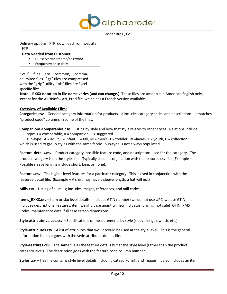

Delivery options: FTP, download from website

FTP

#### **Data Needed from Customer**

- FTP server/username/password
- Frequency: once daily

".csv" files are common, commadelimited files. ".gz" files are compressed with the "gzip" utility.".xls" files are Excelspecific files

**Note – RXXX notation in file name varies (and can change.)** These files are available in American English only, except for the AllDBInfoCAN Prod file, which has a French version available.

#### **Overview of Available Files:**

**Categories.csv** – General category information for products. It includes category codes and descriptions. It matches "product code" columns in some of the files.

**Companions-comparables.csv** – Listing by style and how that style relates to other styles. Relations include type:  $r =$  comparable,  $n =$  companion,  $u =$  suggested

sub-type:  $A = adult$ ,  $I = infant$ ,  $L = tall$ ,  $M = men's$ ,  $T = todder$ ,  $W = ladies$ ,  $Y = youth$ ,  $C = collection$ which is used to group styles with the same fabric. Sub-type is not always populated.

**Feature-details.csv** – Product category, possible feature code, and descriptions used for the category. The product category is on the styles file. Typically used in conjunction with the features.csv file. (Example – Possible sleeve lengths include short, long, or none).

**Features.csv** – The higher-level features for a particular category. This is used in conjunction with the features-detail file. (Example – A shirt may have a sleeve length, a hat will not)

**Mills.csv** – Listing of all mills; includes images, references, and mill codes.

**Items\_RXXX.csv** – Item or sku level details. Includes GTIN number (we do not use UPC, we use GTIN). It includes descriptions, features, item weight, case quantity, new indicator, pricing (not sale), GTIN, PMS Codes, maintenance date, full case carton dimensions.

**Style-attribute-values.csv** – Specifications or measurements by style (sleeve length, width, etc.).

**Style-attributes.csv** – A list of attributes that would/could be used at the style level. This is the general information file that goes with the style attributes details file.

**Style-features.csv** – The same file as the feature details but at the style level (rather than the product category level). The description goes with the feature code column number.

**Styles.csv** – This file contains style level details including category, mill, and images. It also includes an item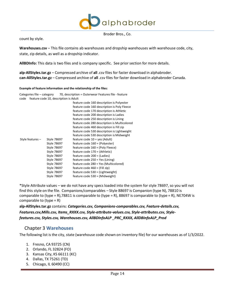

count by style.

**Warehouses.csv** – This file contains ab warehouses and dropship warehouses with warehouse code, city, state, zip details, as well as a dropship indicator.

**AllBDInfo:** This data is two files and is company specific. See priorsection for more details.

**alp-AllStyles.tar.gz** – Compressed archive of **all** .csv files for faster download in alphabroder. **can-AllStyles.tar.gz** – Compressed archive of **all** .csv files for faster download in alphabroder Canada.

#### **Example of feature information and the relationship of the files:**

| Categories file – category                    | 70, description = Outerwear Features file - feature |
|-----------------------------------------------|-----------------------------------------------------|
| feature code 10, description is Adult<br>code |                                                     |
|                                               | feature code 160 description is Polyester           |
|                                               | feature code 160 description is Poly Fleece         |
|                                               | feature code 170 description is Athletic            |
|                                               | feature code 200 description is Ladies              |
|                                               | feature code 250 description is Lining              |
|                                               | feature code 280 description is Multicolored        |
|                                               | feature code 460 description is Fill zip            |
|                                               | feature code 530 description is Lightweight         |
|                                               | feature code 530 description is Midweight           |
| Style features -<br>Style 78697               | feature code $10 = yes$ (Adult)                     |
| Style 78697                                   | feature code 160 = (Polyester)                      |
| Style 78697                                   | feature code 160 = (Poly Fleece)                    |
|                                               | feature code 170 = (Athletic)<br>Style 78697        |
| <b>Style 78697</b>                            | feature code 200 = (Ladies)                         |
| Style 78697                                   | feature code 250 = Yes (Lining)                     |
| Style 78697                                   | feature code 280 = Yes (Multicolored)               |
|                                               | Style 78697<br>feature code $460 = (Fill zip)$      |
| Style 78697                                   | feature code 530 = (Lightweight)                    |
| Style 78697                                   | feature code 530 = (Midweight)                      |

\*Style Attribute values – we do not have any specs loaded into the system for style 78697, so you will not find this style on the file. Companions/comparables – Style 88697 is Companion (type N), 78810 is comparable to (type = R),78811 is comparable to (type = R), 88697 is comparable to (type = R), NE704W is comparable to  $(typ = R)$ 

**alp-AllStyles.tar.gz** contains: *Categories.csv, Companions-comparables.csv, Feature-details.csv, Features.csv,Mills.csv, Items\_RXXX.csv, Style-attribute-values.csv, Style-attributes.csv, Stylefeatures.csv, Styles.csv, Warehouses.csv, AllBDInfoALP \_PRC\_RXXX, AllDBInfoALP\_Prod*

## Chapter 3 **Warehouses**

<span id="page-13-0"></span>The following list is the city, state (warehouse code shown on inventory file) for our warehouses as of 1/3/2022.

- 1. Fresno, CA 93725 (CN)
- 2. Orlando, FL 32824 (FO)
- 3. Kansas City, KS 66111 (KC)
- 4. Dallas, TX 75261 (TD)
- 5. Chicago, IL 60490 (CC)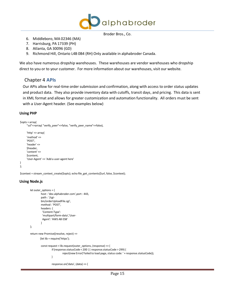

- 6. Middleboro, MA 02346 (MA)
- 7. Harrisburg, PA 17339 (PH)
- 8. Atlanta, GA 30096 (GD)
- 9. Richmond Hill, Ontario L4B 0B4 (RH) Only available in alphabroder Canada.

We also have numerous dropship warehouses. These warehouses are vendor warehouses who dropship direct to you or to your customer. For more information about our warehouses, visit our website.

## <span id="page-14-0"></span>Chapter 4 **APIs**

Our APIs allow for real-time order submission and confirmation, along with access to order status updates and product data. They also provide inventory data with cutoffs, transit days, and pricing. This data is sent in XML format and allows for greater customization and automation functionality. All orders must be sent with a User-Agent header. (See examples below)

#### **Using PHP**

```
$opts = array(
     "ssl"=>array( "verify_peer"=>false, "verify_peer_name"=>false),
     'http' => array(
     'method' => 
     'POST',
     'header' => 
     $header,
     'content' =>
     $content,
     'User-Agent' => 'Add a user-agent here'
)
);
```
\$context = stream\_context\_create(\$opts); echo file\_get\_contents(\$url, false, \$context);

## **Using Node.js**

```
let outer_options = {
         host : 'dev.alphabroder.com',port : 443,
         path : '/cgi-
         bin/orderUploadFile.cgi',
         method : 'POST',
         headers: {
          'Content-Type': 
          'multipart/form-data','User-
          Agent': 'AWS AB ESB'
         }
};
return new Promise((resolve, reject) => 
        {let lib = require('https');
         const request = lib.request(outer_options, (response) => {
                  if (response.statusCode < 200 || response.statusCode > 299) {
                           reject(new Error('Failed to load page, status code: ' + response.statusCode));
                  }
                  response.on('data', (data) => {
```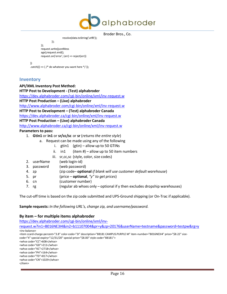

```
Broder Bros., Co.
```

```
resolve(data.toString('utf8'));
```

```
});
         });
         request.write(jsonMess
         age);request.end();
         request.on('error', (err) => reject(err))
.catch(() => \{ /* do whatever you want here */ });
```
## <span id="page-15-0"></span>**Inventory**

})

**API/XML Inventory Post Method:**

**HTTP Post to Development - (Test) alphabroder**

<https://dev.alphabroder.com/cgi-bin/online/xml/inv-request.w>

**HTTP Post Production – (Live) alphabroder**

[http://www.alphabroder.com/cgi-bin/online/xml/inv-request.w](https://www.alphabroder.com/cgi-bin/online/xml/inv-request.w)

**HTTP Post to Development – (Test) alphabroder Canada**

<https://dev.alphabroder.ca/cgi-bin/online/xml/inv-request.w>

**HTTP Post Production – (Live) alphabroder Canada**

<http://www.alphabroder.ca/cgi-bin/online/xml/inv-request.w>

#### **Parameters to pass:**

- 1. **Gtin1** or **in1** or **sr/cc/sc** or **sr** (*returnsthe entire style*)
	- a. Request can be made using any of the following
		- i. gtin1  $(gtin)$  allow up to 50 GTINs
		- ii. in1  $(item #)$  allow up to 50 item numbers
		- iii. sr, cc, sc (style, color, size codes)
- 2. userName (web login-id)
- 3. password (web password)
- 4. zp (zip code– **optional** *if blank will use customer default warehouse*)
- 5. pr (price **optional**, *"y" to get prices*)
- 6. cn (customer number)
- 7. rg (regular ab whses only optional if y then excludes dropship warehouses)

The cut-off time is based on the zip code submitted and UPS-Ground shipping (or On-Trac if applicable).

**Sample requests:** *In the following URL's, change zip, and username/password.*

#### **By item – for multiple items alphabroder**

[https://dev.alphabroder.com/cgi-bin/online/xml/inv-](https://dev.alphabroder.com/cgi-bin/online/xml/inv-request.w?in1=B016NE3I4&in2=b11107004&pr=y&zp=20176&userName=testname&password=testpw&rg=y)

[request.w?in1=B016NE3I4&in2=b11107004&pr=y&zp=20176&userName=testname&password=testpw&rg=y](https://dev.alphabroder.com/cgi-bin/online/xml/inv-request.w?in1=B016NE3I4&in2=b11107004&pr=y&zp=20176&userName=testname&password=testpw&rg=y) <inv-balance>

<item ccard-charge-percent="3.8" color-code="3I" description="88181 CAMPUS.PURPLE M" item-number="B016NE3I4" price="\$8.22" sizecode="4" special-expiry="12/31/20" special-price="\$8.00" style-code="88181">

<whse code="CC">608</whse>

<whse code="GD">211</whse>

<whse code="KC">2718</whse> <whse code="PH">164</whse>

<whse code="TD">817</whse>

<whse code="CN">1029</whse>

</item>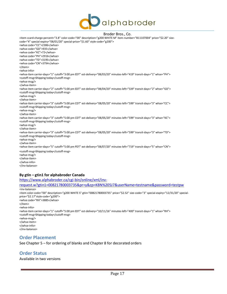

<item ccard-charge-percent="3.8" color-code="00" description="g200 WHITE M" item-number="B11107004" price="\$2.20" sizecode="4" special-expiry="08/01/20" special-price="\$1.60" style-code="g200"> <whse code="CC">2386</whse> <whse code="GD">935</whse> <whse code="KC">72</whse> <whse code="PH">2916</whse> <whse code="TD">3195</whse> <whse code="CN">3794</whse> </item> <whse-info> <whse-item carrier-days="1" cutoff="3:00 pm EDT" est-delivery="08/03/20" minutes-left="419" transit-days="1" whse="PH"> <cutoff-msg>Shipping today</cutoff-msg> <whse-msg/> </whse-item> <whse-item carrier-days="2" cutoff="5:00 pm EDT" est-delivery="08/04/20" minutes-left="539" transit-days="2" whse="GD"> <cutoff-msg>Shipping today</cutoff-msg> <whse-msg/> </whse-item> <whse-item carrier-days="3" cutoff="5:00 pm CDT" est-delivery="08/05/20" minutes-left="599" transit-days="3" whse="CC"> <cutoff-msg>Shipping today</cutoff-msg> <whse-msg/> </whse-item> <whse-item carrier-days="3" cutoff="5:00 pm CDT" est-delivery="08/05/20" minutes-left="599" transit-days="3" whse="KC"> <cutoff-msg>Shipping today</cutoff-msg> <whse-msg/> </whse-item> <whse-item carrier-days="3" cutoff="5:00 pm CDT" est-delivery="08/05/20" minutes-left="599" transit-days="3" whse="TD"> <cutoff-msg>Shipping today</cutoff-msg> <whse-msg/> </whse-item> <whse-item carrier-days="5" cutoff="5:00 pm PDT" est-delivery="08/07/20" minutes-left="719" transit-days="5" whse="CN"> <cutoff-msg>Shipping today</cutoff-msg> <whse-msg/> </whse-item> </whse-info> </inv-balance> **By gtin – gtin1 for alphabroder Canada**

[https://www.alphabroder.ca/cgi-bin/online/xml/inv](https://www.alphabroder.ca/cgi-bin/online/xml/inv-request.w?gtin1=00821780003735&pr=y&zp=K8N%205J7&userName=testname&password=testpw)[request.w?gtin1=00821780003735&pr=y&zp=K8N%205J7&userName=testname&password=testpw](https://www.alphabroder.ca/cgi-bin/online/xml/inv-request.w?gtin1=00821780003735&pr=y&zp=K8N%205J7&userName=testname&password=testpw) <inv-balance> <item color-code="00" description="g200 WHITE S" gtin="00821780003735" price="\$2.52" size-code="3" special-expiry="12/31/20" specialprice="\$2.17"style-code="g200"> <whse code="RH">3885</whse> </item> <whse-info> <whse-item carrier-days="1" cutoff="5:00 pm EDT" est-delivery="10/11/16" minutes-left="400" transit-days="1" whse="RH"> <cutoff-msg>Shipping today</cutoff-msg> <whse-msg/> </whse-item> </whse-info> </inv-balance>

#### <span id="page-16-0"></span>**Order Placement**

See Chapter 5 – for ordering of blanks and Chapter 8 for decorated orders

## <span id="page-16-1"></span>**Order Status**

Available in two versions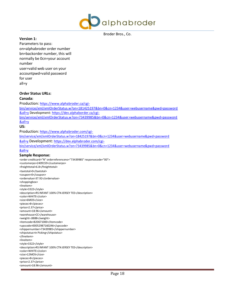

#### **Version 1:**

Parameters to pass: on=alphabroder order number bn=backorder number, this will normally be 0cn=your account number user=valid web user on your accountpwd=valid password for user all=y

#### **Order Status URLs:**

#### **Canada:**

Production: [https://www.alphabroder.ca/cgi](https://www.alphabroder.ca/cgi-bin/service/xml/xmlOrderStatus.w?on=181425197&bn=0&cn=1234&user=webusername&pwd=password&all=y)[bin/service/xml/xmlOrderStatus.w?on=181425197&bn=0&cn=1234&user=webusername&pwd=password](https://www.alphabroder.ca/cgi-bin/service/xml/xmlOrderStatus.w?on=181425197&bn=0&cn=1234&user=webusername&pwd=password&all=y) [&all=y](https://www.alphabroder.ca/cgi-bin/service/xml/xmlOrderStatus.w?on=181425197&bn=0&cn=1234&user=webusername&pwd=password&all=y) Development: [https://dev.alphaborder.ca/cgi](https://dev.alphaborder.ca/cgi-bin/service/xml/xmlOrderStatus.w?on=73439985&bn=0&cn=1234&user=webusername&pwd=password&all=y)[bin/service/xml/xmlOrderStatus.w?on=73439985&bn=0&cn=1234&user=webusername&pwd=password](https://dev.alphaborder.ca/cgi-bin/service/xml/xmlOrderStatus.w?on=73439985&bn=0&cn=1234&user=webusername&pwd=password&all=y) [&all=y](https://dev.alphaborder.ca/cgi-bin/service/xml/xmlOrderStatus.w?on=73439985&bn=0&cn=1234&user=webusername&pwd=password&all=y) **US:** Production: [https://www.alphabroder.com/cgi](https://www.alphabroder.com/cgi-bin/service/xml/xmlOrderStatus.w?on=18425197&bn=0&cn=1234&user=webusername&pwd=password&all=y)[bin/service/xml/xmlOrderStatus.w?on=18425197&bn=0&cn=1234&user=webusername&pwd=password](https://www.alphabroder.com/cgi-bin/service/xml/xmlOrderStatus.w?on=18425197&bn=0&cn=1234&user=webusername&pwd=password&all=y) [&all=y](https://www.alphabroder.com/cgi-bin/service/xml/xmlOrderStatus.w?on=18425197&bn=0&cn=1234&user=webusername&pwd=password&all=y) Development: [https://dev.alphabroder.com/cgi](https://dev.alphabroder.com/cgi-bin/service/xml/xmlOrderStatus.w?on=73439985&bn=0&cn=1234&user=webusername&pwd=password&all=y)[bin/service/xml/xmlOrderStatus.w?on=73439985&bn=0&cn=1234&user=webusername&pwd=password](https://dev.alphabroder.com/cgi-bin/service/xml/xmlOrderStatus.w?on=73439985&bn=0&cn=1234&user=webusername&pwd=password&all=y) [&all=y](https://dev.alphabroder.com/cgi-bin/service/xml/xmlOrderStatus.w?on=73439985&bn=0&cn=1234&user=webusername&pwd=password&all=y) **Sample Response:** <order creditcard="N" orderreferenceno="73439985" responsecode="00"> <customerpo>2409159</customerpo> <freighttotal>6.8</freighttotal> <taxtotal>0</taxtotal>

<coupon>0</coupon> <ordervalue>37.92</ordervalue> <shoppingbox> <lineitem> <style>3322</style> <description>RS INFANT 100% CTN JERSEY TEE</description> <color>WHITE</color> <size>6MOS</size> <pieces>8</pieces> <price>2.37</price> <amount>18.96</amount> <warehouse>CC</warehouse> <weight>.8888</weight> <itemcode>B20671000</itemcode> <upccode>00052987160246</upccode> <shippernumber>73439985</shippernumber> <shipstatus>In Picking</shipstatus> </lineitem> <lineitem> <style>3322</style> <description>RS INFANT 100% CTN JERSEY TEE</description> <color>WHITE</color> <size>12MOS</size> <pieces>8</pieces> <price>2.37</price> <amount>18.96</amount>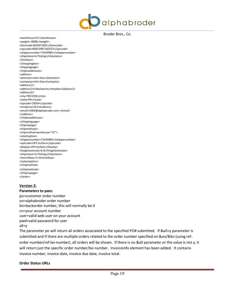

<warehouse>CC</warehouse> <weight>.8888</weight> <itemcode>B20671001</itemcode> <upccode>00052987160253</upccode> <shippernumber>73439985</shippernumber> <shipstatus>In Picking</shipstatus> </lineitem> </shoppingbox> <shippingpage> <shiptoaddresses> <address> <attention>John Doe</attention> <company>John Doe</company> <address1/> <address2>6 Neshaminy Interplex</address2> <address3/> <city>TREVOSE</city> <state>PA</state> <zipcode>19054</zipcode> <residence>N</residence> <email[>USER@alphabroder.com](mailto:USER@alphabroder.com) </email> </address> </shiptoaddresses> </shippingpage> <shipviapage> <shipmethods> <shipmethod warehouse="CC"> <selectoption> <shippernumber>73439985</shippernumber> <optcode>UPS-Surface</optcode> <display>UPS-Surface</display> <freightestimate>6.8</freightestimate> <shipstatus>In Picking</shipstatus> <transitdays>1</transitdays> </selectoption> </shipmethod> </shipmethods> </shipviapage> </order>

#### **Version 2:**

**Parameters to pass:**

po=customer order number on=alphabroder order number bn=backorder number, this will normally be 0 cn=your account number user=valid web user on your account pwd=valid password for user all=y

The parameter po will return all orders associated to the specified PO# submitted. If &all=y parameter is submitted and if there are multiple orders related to the order number specified on &on/&bn (using reforder-number/ref-bo-number), all orders will be shown. If there is no &all parameter or the value is not y, it will return just the specific order number/bo-number. Invoiceinfo element has been added. It contains invoice number, invoice date, invoice due date, invoice total.

#### **Order Status URLs**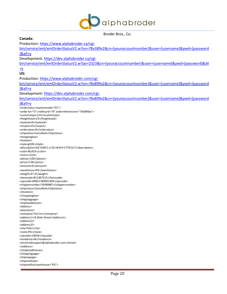

| Canada:                                                                                                             |
|---------------------------------------------------------------------------------------------------------------------|
| Production: https://www.alphabroder.ca/cgi-                                                                         |
| bin/service/xml/xmlOrderStatusV2.w?on=78x389x2&cn=[youraccountnumber]&user=[username]&pwd=[password                 |
| $\lambda$ all=y                                                                                                     |
| Development: https://dev.alphabroder.ca/cgi-                                                                        |
|                                                                                                                     |
| bin/service/xml/xmlOrderStatusV2.w?po=2323&cn=[youraccountnumber]&user=[username]&pwd=[password]&all                |
| $\equiv$ <u>y</u>                                                                                                   |
| US:                                                                                                                 |
| Production: https://www.alphabroder.com/cgi-                                                                        |
| bin/service/xml/xmlOrderStatusV2.w?on=78x899x2&cn=[youraccountnumber]&user=[username]&pwd=[password                 |
| <b>1&amp;all=y</b>                                                                                                  |
| Development: https://dev.alphabroder.com/cgi-                                                                       |
| bin/service/xml/xmlOrderStatusV2.w?on=78x899x2&cn=[youraccountnumber]&user=[username]&pwd=[password                 |
|                                                                                                                     |
| <b>]&amp;all=y</b>                                                                                                  |
| <orderstatus responsecode="01"><br/><order bn="0" creditcard="N" orderreferenceno="78x898xx"></order></orderstatus> |
| <customerpo>123</customerpo>                                                                                        |
| <freighttotal>25</freighttotal>                                                                                     |
| <taxtotal>0</taxtotal>                                                                                              |
| <coupon>0</coupon>                                                                                                  |
| <ordervalue>0</ordervalue>                                                                                          |
| <shipstatus>Cancelled</shipstatus>                                                                                  |
| <shoppingbox><br/><lineitem></lineitem></shoppingbox>                                                               |
| <style>g500</style>                                                                                                 |
| <description>GD 5000 5.3 OZ HEAVY CTTN SS T</description>                                                           |
| <color>BLACK</color>                                                                                                |
| <size>L</size>                                                                                                      |
| <pieces>100</pieces>                                                                                                |
| <price>2.46</price>                                                                                                 |
| <amount>0</amount>                                                                                                  |
| <warehouse>PG</warehouse><br><weight>47.9</weight>                                                                  |
| <itemcode>B11007515</itemcode>                                                                                      |
| <upccode>00821780001309</upccode>                                                                                   |
| <shippernumber>78389887</shippernumber>                                                                             |
| <shipstatus>Cancelled</shipstatus>                                                                                  |
|                                                                                                                     |
|                                                                                                                     |
| <shippingpage><br/><shiptoaddresses></shiptoaddresses></shippingpage>                                               |
| <address></address>                                                                                                 |
| <attention></attention>                                                                                             |
| <company>Test Inc</company>                                                                                         |
| <address1>16 Main Street</address1>                                                                                 |
| <address2></address2>                                                                                               |
| <address3></address3><br><city>Falls</city>                                                                         |
| <state>PA</state>                                                                                                   |
| <zipcode>19054</zipcode>                                                                                            |
| <residence>N</residence>                                                                                            |
| <email>edisupport@alphabroder.com</email>                                                                           |
|                                                                                                                     |
|                                                                                                                     |
| <br><shipviapage></shipviapage>                                                                                     |
| <shipmethods></shipmethods>                                                                                         |
| <shipmethod warehouse="PG"></shipmethod>                                                                            |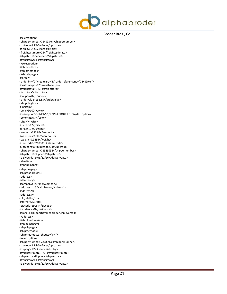

<selectoption> <shippernumber>78x898xx</shippernumber> <optcode>UPS-Surface</optcode> <display>UPS-Surface</display> <freightestimate>25</freightestimate> <shipstatus>Cancelled</shipstatus> <transitdays>1</transitdays> </selectoption> </shipmethod> </shipmethods> </shipviapage> </order> <order bn="0" creditcard="N" orderreferenceno="78x899xx"> <customerpo>123</customerpo> <freighttotal>12.5</freighttotal> <taxtotal>0</taxtotal> <coupon>0</coupon> <ordervalue>131.88</ordervalue> <shoppingbox> <lineitem> <style>D100</style> <description>DJ MENS S/S PIMA PIQUE POLO</description> <color>BLACK</color> <size>M</size> <pieces>12</pieces> <price>10.99</price> <amount>131.88</amount> <warehouse>PH</warehouse> <weight>9.9456</weight> <itemcode>B21058514</itemcode> <upccode>00882849006500</upccode> <shippernumber>78389932</shippernumber> <shipstatus>Shipped</shipstatus> <deliverydate>06/22/16</deliverydate> </lineitem> </shoppingbox> <shippingpage> <shiptoaddresses> <address> <attention/> <company>Test Inc</company> <address1>16 Main Street</address1> <address2/> <address3/> <city>Falls</city> <state>PA</state> <zipcode>19054</zipcode> <residence>N</residence> <email[>edisupport@alphabroder.com<](mailto:edisupport@alphabroder.com)/email> </address> </shiptoaddresses> </shippingpage> <shipviapage> <shipmethods> <shipmethod warehouse="PH"> <selectoption> <shippernumber>78x899xx</shippernumber> <optcode>UPS-Surface</optcode> <display>UPS-Surface</display> <freightestimate>12.5</freightestimate> <shipstatus>Shipped</shipstatus> <transitdays>1</transitdays> <deliverydate>06/22/16</deliverydate>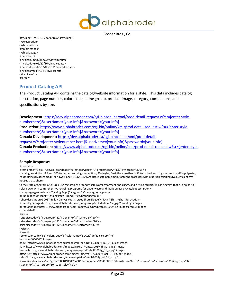

<tracking>1Z4R723F7XXXXX87X4</tracking> </selectoption> </shipmethod> </shipmethods> </shipviapage> <invoiceinfo> <invoicenum>8288XX59</invoicenum> <invoicedate>06/22/16</invoicedate> <invoiceduedate>07/06/16</invoiceduedate> <invoiceamt>144.38</invoiceamt> </invoiceinfo> </order>

## <span id="page-21-0"></span>**Product-Catalog API**

The Product Catalog API contains the catalog/website information for a style. This data includes catalog description, page number, color (code, name group), product image, category, companions, and specifications by size.

**Development:** [https://dev.alphabroder.com/cgi-bin/online/xml/prod-detail-request.w?sr=\[enter style](https://dev.alphabroder.com/cgi-bin/online/xml/prod-detail-request.w?sr=%5benter%20style%20number%20here%5d&userName=%5byour%20info%5d&password=%5byour%20info%5d)  [numberh](https://dev.alphabroder.com/cgi-bin/online/xml/prod-detail-request.w?sr=%5benter%20style%20number%20here%5d&userName=%5byour%20info%5d&password=%5byour%20info%5d)ere]&userName=[your [info\]&password=\[your info\]](https://dev.alphabroder.com/cgi-bin/online/xml/prod-detail-request.w?sr=%5benter%20style%20number%20here%5d&userName=%5byour%20info%5d&password=%5byour%20info%5d) **Production:** [https://www.alphabroder.com/cgi-bin/online/xml/prod-detail-request.w?sr=\[enter style](https://www.alphabroder.com/cgi-bin/online/xml/prod-detail-request.w?sr=%5benter%20style%20number%20here%5d&userName=%5byour%20info%5d&password=%5byour%20info%5d)  [numberh](https://www.alphabroder.com/cgi-bin/online/xml/prod-detail-request.w?sr=%5benter%20style%20number%20here%5d&userName=%5byour%20info%5d&password=%5byour%20info%5d)ere]&userName=[your [info\]&password=\[your info\]](https://www.alphabroder.com/cgi-bin/online/xml/prod-detail-request.w?sr=%5benter%20style%20number%20here%5d&userName=%5byour%20info%5d&password=%5byour%20info%5d) **Canada Development:** [https://dev.alphabroder.ca/cgi-bin/online/xml/prod-detail](https://dev.alphabroder.ca/cgi-bin/online/xml/prod-detail-request.w?sr=%5benter%20style%20number%20here%5d&userName=%5byour%20info%5d&password=%5byour%20info%5d)[request.w?sr=\[enter stylen](https://dev.alphabroder.ca/cgi-bin/online/xml/prod-detail-request.w?sr=%5benter%20style%20number%20here%5d&userName=%5byour%20info%5d&password=%5byour%20info%5d)umber [here\]&userName=\[your info\]&password=\[your info\]](https://dev.alphabroder.ca/cgi-bin/online/xml/prod-detail-request.w?sr=%5benter%20style%20number%20here%5d&userName=%5byour%20info%5d&password=%5byour%20info%5d) **Canada Production:** [https://www.alphabroder.ca/cgi-bin/online/xml/prod-detail-request.w?sr=\[enter](https://www.alphabroder.ca/cgi-bin/online/xml/prod-detail-request.w?sr=%5benter%20style%20number%20here%5d&userName=%5byour%20info%5d&password=%5byour%20info%5d) style [numberh](https://www.alphabroder.ca/cgi-bin/online/xml/prod-detail-request.w?sr=%5benter%20style%20number%20here%5d&userName=%5byour%20info%5d&password=%5byour%20info%5d)ere]&userName=[your [info\]&password=\[your info\]](https://www.alphabroder.ca/cgi-bin/online/xml/prod-detail-request.w?sr=%5benter%20style%20number%20here%5d&userName=%5byour%20info%5d&password=%5byour%20info%5d)

#### **Sample Response:**

<products>

<item brand="Bella + Canvas" brandpage="0" categorypage="0" prodcategory="132" stylecode="3005Y"> <catalogdescription>4.2 oz., 100% combed and ringspun cotton; 30 singles; Dark Grey Heather is 52% combed and ringspun cotton, 48% polyester; Youth unisex; Sideseamed; Tear-away label; BELLA+CANVAS uses sustainable manufacturing processes with Blue Sign certified dyes, efficient dye houses that adhere to the state of CaliforniaÆs EPA regulations around waste water treatment and usage, and cutting facilities in Los Angeles that run on partial solar powerwith comprehensive recycling programs for paper waste and fabric scraps.; </catalogdescription> <categorypagenum label="Catalog Page (Category):">0</categorypagenum> <brandpagenum label="Catalog Page (Brand):">0</brandpagenum> <shortdescription>3005Y Bella + Canvas Youth Jersey Short-Sleeve V-Neck T-Shirt</shortdescription> <brandlogoimage>https:/[/www.alphabroder.com/images/alp/millMedium/be.jpg<](https://www.alphabroder.com/images/alp/millMedium/be.jpg)/brandlogoimage> <productimage>https:/[/www.alphabroder.com/images/alp/prodDetail/3005y\\_82\\_p.jpg<](https://www.alphabroder.com/images/alp/prodDetail/3005y_82_p.jpg)/productimage> <primelabel/> <sizes> <size sizecode="3" sizegroup="32" sizename="S" sortorder="10"/> <size sizecode="4" sizegroup="32" sizename="M" sortorder="20"/> <size sizecode="5" sizegroup="32" sizename="L" sortorder="30"/> </sizes> <colors> <color colorcode="51" colorgroup="6" colorname="BLACK" default-color="no" hexcode="000000" imageback="https:/[/www.alphabroder.com/images/alp/backDetail/3005y\\_bk\\_51\\_p.jpg"](https://www.alphabroder.com/images/alp/backDetail/3005y_bk_51_p.jpg) imageflat="https:/[/www.alphabroder.com/images/alp/FlatFronts/3005y\\_ff\\_51\\_p.jpg"](https://www.alphabroder.com/images/alp/FlatFronts/3005y_ff_51_p.jpg) imagefront="https:/[/www.alphabroder.com/images/alp/prodDetail/3005y\\_51\\_p.jpg"](https://www.alphabroder.com/images/alp/prodDetail/3005y_51_p.jpg) imageofffigure="https:/[/www.alphabroder.com/images/alp/vof1Dtl/3005y\\_of1\\_51\\_vp.jpg"](https://www.alphabroder.com/images/alp/vof1Dtl/3005y_of1_51_vp.jpg) imageside="https:/[/www.alphabroder.com/images/alp/sideDetail/3005y\\_sd\\_51\\_p.jpg"](https://www.alphabroder.com/images/alp/sideDetail/3005y_sd_51_p.jpg)> <colorsize clearance="no" gtin="00884913173460" itemnumber="B040CN513" itemstatus="Active" onsale="no" sizecode="3" sizegroup="32" sizename="S" sortorder="10" supersale="no"/>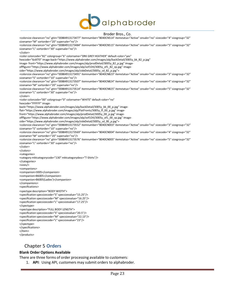

<colorsize clearance="no" gtin="00884913173477" itemnumber="B040CN514" itemstatus="Active" onsale="no" sizecode="4" sizegroup="32" sizename="M" sortorder="20" supersale="no"/> <colorsize clearance="no" gtin="00884913173484" itemnumber="B040CN515" itemstatus="Active" onsale="no" sizecode="5" sizegroup="32" sizename="L" sortorder="30" supersale="no"/> </color> <color colorcode="82" colorgroup="6" colorname="DRK GREY HEATHER" default-color="yes" hexcode="6c6f70" image-back="https:/[/www.alphabroder.com/images/alp/backDetail/3005y\\_bk\\_82\\_p.jpg"](https://www.alphabroder.com/images/alp/backDetail/3005y_bk_82_p.jpg) image- front="https:/[/www.alphabroder.com/images/alp/prodDetail/3005y\\_82\\_p.jpg"](https://www.alphabroder.com/images/alp/prodDetail/3005y_82_p.jpg) imageofffigure="https:/[/www.alphabroder.com/images/alp/vof1Dtl/3005y\\_of1\\_82\\_vp.jpg"](https://www.alphabroder.com/images/alp/vof1Dtl/3005y_of1_82_vp.jpg) imageside="https:/[/www.alphabroder.com/images/alp/sideDetail/3005y\\_sd\\_82\\_p.jpg"](https://www.alphabroder.com/images/alp/sideDetail/3005y_sd_82_p.jpg)> <colorsize clearance="no" gtin="00884913173491" itemnumber="B040CN823" itemstatus="Active" onsale="no" sizecode="3" sizegroup="32" sizename="S" sortorder="10" supersale="no"/> <colorsize clearance="no" gtin="00884913173507" itemnumber="B040CN824" itemstatus="Active" onsale="no" sizecode="4" sizegroup="32" sizename="M" sortorder="20" supersale="no"/> <colorsize clearance="no" gtin="00884913173514" itemnumber="B040CN825" itemstatus="Active" onsale="no" sizecode="5" sizegroup="32" sizename="L" sortorder="30" supersale="no"/> </color> <color colorcode="00" colorgroup="0" colorname="WHITE" default-color="no" hexcode="FFFFFF" imageback="https:/[/www.alphabroder.com/images/alp/backDetail/3005y\\_bk\\_00\\_p.jpg"](https://www.alphabroder.com/images/alp/backDetail/3005y_bk_00_p.jpg) imageflat="https:/[/www.alphabroder.com/images/alp/FlatFronts/3005y\\_ff\\_00\\_p.jpg"](https://www.alphabroder.com/images/alp/FlatFronts/3005y_ff_00_p.jpg) imagefront="https:/[/www.alphabroder.com/images/alp/prodDetail/3005y\\_00\\_p.jpg"](https://www.alphabroder.com/images/alp/prodDetail/3005y_00_p.jpg) imageofffigure="https:/[/www.alphabroder.com/images/alp/vof1Dtl/3005y\\_of1\\_00\\_vp.jpg"](https://www.alphabroder.com/images/alp/vof1Dtl/3005y_of1_00_vp.jpg) imageside="https:/[/www.alphabroder.com/images/alp/sideDetail/3005y\\_sd\\_00\\_p.jpg"](https://www.alphabroder.com/images/alp/sideDetail/3005y_sd_00_p.jpg)> <colorsize clearance="no" gtin="00884913173552" itemnumber="B040CN003" itemstatus="Active" onsale="no" sizecode="3" sizegroup="32" sizename="S" sortorder="10" supersale="no"/> <colorsize clearance="no" gtin="00884913173569" itemnumber="B040CN004" itemstatus="Active" onsale="no" sizecode="4" sizegroup="32" sizename="M" sortorder="20" supersale="no"/> <colorsize clearance="no" gtin="00884913173576" itemnumber="B040CN005" itemstatus="Active" onsale="no" sizecode="5" sizegroup="32" sizename="L" sortorder="30" supersale="no"/> </color> </colors> <categories> <category mktcategorycode="130" mktcategorydesc="T-Shirts"/> </categories> <sizes/> <companions> <companion>3005</companion> <companion>B6005</companion> <companion>B6005(Ladies')</companion> </companions> <specifications> <spectype description="BODY WIDTH"> <specification specsizecode="S" specsizevalue="15.25"/> <specification specsizecode="M" specsizevalue="16.25"/> <specification specsizecode="L" specsizevalue="17.25"/> </spectype> <spectype description="FULL BODY LENGTH"> <specification specsizecode="S" specsizevalue="20.5"/> <specification specsizecode="M" specsizevalue="22.13"/> <specification specsizecode="L" specsizevalue="23"/> </spectype> </specifications> </item> </products>

## <span id="page-22-0"></span>Chapter 5 **Orders**

#### **Blank Order Options Available**

There are three forms of order processing available to customers:

1. **API**: Using API, customers may submit orders to alphabroder.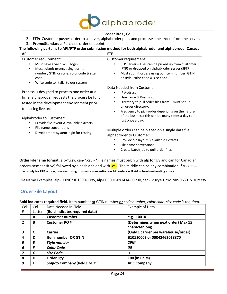

2. **FTP:** Customer pushes order to a server, alphabroder pulls and processes the orders from the server.

#### 3. **PromoStandards:** Purchase order endpoint.

#### **The following pertainsto API/FTP ordersubmission method for both alphabroder and alphabroder Canada.**

| <b>API</b>                                                                                                                                                                                                                                                                                                                                                | <b>FTP</b>                                                                                                                                                                                                                                                                                                                                                                                                                                                                             |
|-----------------------------------------------------------------------------------------------------------------------------------------------------------------------------------------------------------------------------------------------------------------------------------------------------------------------------------------------------------|----------------------------------------------------------------------------------------------------------------------------------------------------------------------------------------------------------------------------------------------------------------------------------------------------------------------------------------------------------------------------------------------------------------------------------------------------------------------------------------|
| Customer requirement:<br>Must have a valid WEB login<br>Must submit orders using our item<br>٠<br>number, GTIN or style, color code & size<br>code<br>$\bullet$                                                                                                                                                                                           | Customer requirement:<br>FTP Server - Files can be picked up from Customer<br>(FTP) or dropped on alphabroder server (SFTP)<br>Must submit orders using our item number, GTIN<br>or style, color code & size code                                                                                                                                                                                                                                                                      |
| Write code to "talk" to our system<br>Process is designed to process one order at a<br>time. alphabroder requests the process be fully<br>tested in the development environment prior<br>to placing live orders.<br>alphabroder to Customer:<br>Provide file layout & available extracts<br>File name conventions<br>Development system login for testing | Data Needed from Customer<br><b>IP Address</b><br>٠<br>Username & Password<br>Directory to pull order files from – must set up<br>an order directory.<br>Frequency to pick order depending on the nature<br>٠<br>of the business; this can be many times a day to<br>just once a day.<br>Multiple orders can be placed on a single data file.<br>alphabroder to Customer:<br>Provide file layout & available extracts<br>File name conventions<br>Create batch job to pull order files |

**Order Filename format:** alp-\*.csv, can-\*.csv - \*File names must begin with alp for US and can for Canadian orders(case sensitive) followed by a dash and end with .csv. The middle can be any combination. \*Note: This **rule is only for FTP option, however using this name convention on API orders will aid in trouble-shooting errors.**

File Name Examples: alp-CC0907101300-1.csv, alp-000001-091414-99.csv, can-123xyz-1.csv, can-063015\_01x.csv

## <span id="page-23-0"></span>**Order File Layout**

**Bold indicates required field.** Item number **or** GTIN number **or** *style number, color code, size code isrequired.*

| Col.<br>#      | Col.<br>Letter | Data Needed in Field<br>(Bold indicates required data) | Example of Data                                       |
|----------------|----------------|--------------------------------------------------------|-------------------------------------------------------|
| 1              | A              | <b>Customer number</b>                                 | e.g. 10010                                            |
| $\overline{2}$ | B              | <b>Customer PO#</b>                                    | (Determines when next order) Max 15<br>character long |
| 3              | C              | Carrier                                                | (Only 1 carrier per warehouse/order)                  |
| 4              | D              | Item number OR GTIN                                    | B10110003 or 00042463028870                           |
| 5              | E              | Style number                                           | <b>29M</b>                                            |
| 6              | F              | <b>Color Code</b>                                      | 00                                                    |
| 7              | G              | Size Code                                              | 3                                                     |
| 8              | н              | <b>Order Qty</b>                                       | 100 (in units)                                        |
| 9              |                | Ship-to Company (field size 35)                        | <b>ABC Company</b>                                    |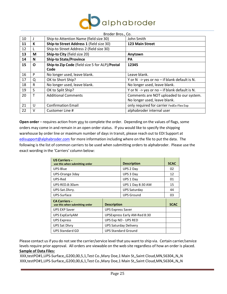

|    |    | Broder Bros., Co.                              |                                                          |
|----|----|------------------------------------------------|----------------------------------------------------------|
| 10 |    | Ship-to Attention Name (field size 30)         | John Smith                                               |
| 11 | К  | Ship-to Street Address 1 (field size 30)       | 123 Main Street                                          |
| 12 |    | Ship-to Street Address 2 (field size 30)       |                                                          |
| 13 | М  | Ship-to City (field size 20)                   | Anytown                                                  |
| 14 | N  | <b>Ship-to State/Province</b>                  | <b>PA</b>                                                |
| 15 | O  | Ship-to Zip Code (field size 5 for ALP)/Postal | 12345                                                    |
|    |    | Code                                           |                                                          |
| 16 | P  | No longer used, leave blank.                   | Leave blank.                                             |
| 17 | Q  | OK to Short Ship?                              | Y or $N \rightarrow y$ es or no - if blank default is N. |
| 18 | R  | No longer used, leave blank.                   | No longer used, leave blank.                             |
| 19 | S. | OK to Split Ship?                              | Y or $N \rightarrow y$ es or no - if blank default is N. |
| 20 | т  | <b>Additional Comments</b>                     | Comments are NOT uploaded to our system.                 |
|    |    |                                                | No longer used, leave blank.                             |
| 21 | U  | <b>Confirmation Email</b>                      | only required for carrier FedEx-Flex Exp                 |
| 22 | v  | Customer Line #                                | alphabroder internal user                                |

**Open order** – requires action from you to complete the order. Depending on the values of flags, some orders may come in and remain in an open order status. If you would like to specify the shipping warehouse by order line or maximum number of days in transit, please reach out to EDI Support at [edisupport@alphabroder.com](mailto:edisupport@alphabroder.com) for more information including where on the file to put the data. The following is the list of common carriers to be used when submitting orders to alphabroder. Please use the exact wording in the 'Carriers' column below:

| <b>US Carriers -</b><br>use this when submitting order |                    | <b>Description</b>                  | <b>SCAC</b> |
|--------------------------------------------------------|--------------------|-------------------------------------|-------------|
| UPS-Blue                                               |                    |                                     | 02          |
| UPS-Orange 3day                                        |                    | UPS 3 Day                           | 12          |
| UPS-Red                                                |                    | UPS 1 Day                           | 01          |
| UPS-RED.8:30am                                         |                    | UPS 1 Day 8:30 AM                   | 15          |
| UPS-Sat.Dlvry.                                         |                    | <b>UPS Saturday</b>                 | 44          |
| UPS-Surface                                            |                    | <b>UPS Ground</b>                   | 03          |
| <b>CA Carriers -</b><br>use this when submitting order | <b>Description</b> |                                     | <b>SCAC</b> |
| <b>UPS EXP Saver</b><br><b>UPS Express Saver</b>       |                    |                                     |             |
| UPS ExpEarlyAM                                         |                    | <b>UPSExpress Early AM-Red 8:30</b> |             |
| <b>UPS Express</b>                                     |                    | UPS Exp ND - UPS RED                |             |
| <b>UPS Sat Divry</b>                                   |                    | <b>UPS Saturday Delivery</b>        |             |
| UPS Standard GD                                        |                    | <b>UPS Standard Ground</b>          |             |

Please contact us if you do not see the carrier/service level that you want to ship via. Certain carrier/service levels require prior approval. All orders are viewable on the web site regardless of how an order is placed. **Sample of Data Files:**

XXX,testPO#1,UPS-Surface,,G200,00,5,1,Test Co.,Mary Doe,1 Main St,,Saint Cloud,MN,56304,,N,,N XXX,testPO#1,UPS-Surface,,G200,00,6,1,Test Co.,Mary Doe,1 Main St,,Saint Cloud,MN,56304,,N,,N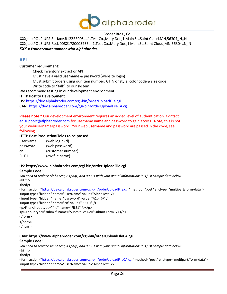

XXX,testPO#2,UPS-Surface,B122BE005,,,,1,Test Co.,Mary Doe,1 Main St,,Saint Cloud,MN,56304,,N,,N XXX,testPO#3,UPS-Red, 00821780003735,,,,1,Test Co.,Mary Doe,1 Main St,,Saint Cloud,MN,56304,,N,,N *XXX = Your account number with alphabroder.*

## <span id="page-25-0"></span>**API**

#### **Customer requirement:**

Check Inventory extract or API Must have a valid username & password (website login) Must submit orders using our item number, GTIN or style, color code & size code Write code to "talk" to our system

We recommend testing in our development environment.

#### **HTTP Post to Development**

US:<https://dev.alphabroder.com/cgi-bin/orderUploadFile.cgi> CAN: <https://dev.alphabroder.com/cgi-bin/orderUploadFileCA.cgi>

**Please note \*** Our development environment requires an added level of authentication. Contact [edisupport@alphabroder.com](mailto:edisupport@alphabroder.com) for username name and password to gain access. Note, this is not your webusername/password. Your web username and password are passed in the code, see following.

#### **HTTP Post ProductionFields to be passed**

| userName          | (web login-id)    |
|-------------------|-------------------|
| password          | (web password)    |
| cn                | (customer number) |
| FILE <sub>1</sub> | (csv file name)   |

#### **US: https:/[/www.alphabroder.com/cgi-bin/orderUploadFile.cgi](https://www.alphabroder.com/cgi-bin/orderUploadFile.cgi)**

#### **Sample Code:**

You need to replace AlphaTest, A1ph@, and 00001 with your actual information; it is just sample data below. <html>

<body>

<formaction=["https://dev.alphabroder.com/cgi-bin/orderUploadFile.cgi"](https://dev.alphabroder.com/cgi-bin/orderUploadFile.cgi) method="post" enctype="multipart/form-data"> <input type="hidden" name="userName" value="AlphaTest" /> <input type="hidden" name="password" value="A1ph@" />

<input type="hidden" name="cn" value="00001" />

<p>File: <input type="file" name="FILE1" /></p>

<p><input type="submit" name="Submit" value="Submit Form" /></p>

</form>

</body> </html>

#### **CAN: https:/[/www.alphabroder.com/cgi-bin/orderUploadFileCA.cgi](https://www.alphabroder.com/cgi-bin/orderUploadFileCA.cgi)**

#### **Sample Code:**

You need to replace AlphaTest, A1ph@, and 00001 with your actual information; it is just sample data below. <html>

<body>

<formaction=["https://dev.alphabroder.com/cgi-bin/orderUploadFileCA.cgi"](https://dev.alphabroder.com/cgi-bin/orderUploadFileCA.cgi) method="post" enctype="multipart/form-data"> <input type="hidden" name="userName" value="AlphaTest" />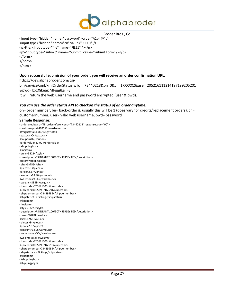

<input type="hidden" name="password" value="A1ph@" /> <input type="hidden" name="cn" value="00001" /> <p>File: <input type="file" name="FILE1" /></p> <p><input type="submit" name="Submit" value="Submit Form" /></p> </form> </body> </html>

#### **Upon successful submission of your order, you will receive an order confirmation URL.**

https://dev.alphabroder.com/cgi-

bin/service/xml/xmlOrderStatus.w?on=73440218&bn=0&cn=1XXXXX2&user=205216111214197199205201 &pwd= bxxXikeaicMPjjjg&all=y

It will return the web username and password encrypted (user & pwd).

#### *You can use the order status API to checkon the status of an order anytime.*

on= order number, bn= back-order #, usually this will be 1 (does vary for credits/replacement orders), cn= customernumber, user= valid web username, pwd= password

#### **Sample Response:**

<order creditcard="N" orderreferenceno="73440218" responsecode="00"> <customerpo>2409159</customerpo> <freighttotal>6.8</freighttotal> <taxtotal>0</taxtotal> <coupon>0</coupon> <ordervalue>37.92</ordervalue> <shoppingbox> <lineitem> <style>3322</style> <description>RS INFANT 100% CTN JERSEY TEE</description> <color>WHITE</color> <size>6MOS</size> <pieces>8</pieces> <price>2.37</price> <amount>18.96</amount> <warehouse>CC</warehouse> <weight>.8888</weight> <itemcode>B20671000</itemcode> <upccode>00052987160246</upccode> <shippernumber>73439985</shippernumber> <shipstatus>In Picking</shipstatus> </lineitem> <lineitem> <style>3322</style> <description>RS INFANT 100% CTN JERSEY TEE</description> <color>WHITE</color> <size>12MOS</size> <pieces>8</pieces> <price>2.37</price> <amount>18.96</amount> <warehouse>CC</warehouse> <weight>.8888</weight> <itemcode>B20671001</itemcode> <upccode>00052987160253</upccode> <shippernumber>73439985</shippernumber> <shipstatus>In Picking</shipstatus> </lineitem> </shoppingbox> <shippingpage>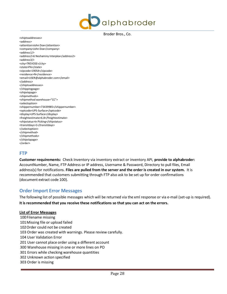

<shiptoaddresses> <address> <attention>John Doe</attention> <company>John Doe</company> <address1/> <address2>6 Neshaminy Interplex</address2> <address3/> <city>TREVOSE</city> <state>PA</state> <zipcode>19054</zipcode> <residence>N</residence> <email[>USER@alphabroder.com<](mailto:USER@alphabroder.com)/email> </address> </shiptoaddresses> </shippingpage> <shipviapage> <shipmethods> <shipmethod warehouse="CC"> <selectoption> <shippernumber>73439985</shippernumber> <optcode>UPS-Surface</optcode> <display>UPS-Surface</display> <freightestimate>6.8</freightestimate> <shipstatus>In Picking</shipstatus> <transitdays>1</transitdays> </selectoption> </shipmethod> </shipmethods> </shipviapage> </order>

## <span id="page-27-0"></span>**FTP**

**Customer requirements:** Check Inventory via inventory extract or inventory API, **provide to alphabroder:**  AccountNumber, Name, FTP Address or IP address, Username & Password, Directory to pull files, Email address(s) for notifications. **Files are pulled from the server and the order is created in our system.** It is recommended that customers submitting through FTP also ask to be set up for order confirmations (document extract code 100).

## <span id="page-27-1"></span>**Order Import Error Messages**

The following list of possible messages which will be returned via the xml response or via e-mail (set-up is required). **It isrecommended that you receive these notifications so that you can act on the errors.**

#### **List of Error Messages**

100Filename missing 101Missing file or upload failed 102Order could not be created 103 Order was created with warnings. Please review carefully. 104 User Validation Error 201 User cannot place order using a different account 300 Warehouse missing in one or more lines on PO 301 Errors while checking warehouse quantities 302 Unknown action specified 303 Order is missing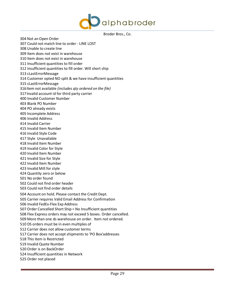

304 Not an Open Order 307 Could not match line to order - LINE LOST 308 Unable to create line 309 Item does not exist in warehouse 310 Item does not exist in warehouse 311 Insufficient quantities to fill order 312 Insufficient quantities to fill order. Will short ship 313 cLastErrorMessage 314 Customer opted NO split & we have insufficient quantities 315 cLastErrorMessage 316Item not available *(includes qty ordered on the file)* 317Invalid account id for third party carrier 400 Invalid Customer Number 403 Blank PO Number 404 PO already exists 405 Incomplete Address 406 Invalid Address 414 Invalid Carrier 415 Invalid Item Number 416 Invalid Style Code 417 Style Unavailable 418 Invalid Item Number 419 Invalid Color for Style 420 Invalid Item Number 421 Invalid Size for Style 422 Invalid Item Number 423 Invalid Mill for style 424 Quantity zero or below 501 No order found 502 Could not find order header 503 Could not find order details 504 Account on hold. Please contact the Credit Dept. 505 Carrier requires Valid Email Address for Confirmation 506 Invalid FedEx-Flex Exp Address 507 Order Cancelled Short Ship = No Insufficient quantities 508 Flex Express orders may not exceed 5 boxes. Order cancelled. 509 More than one ds warehouse on order. Item not ordered. 510 DS orders must be in even multiples of 512 Carrier does not allow customer terms 517 Carrier does not accept shipments to 'PO Box'addresses 518 This Item is Restricted 519 Invalid Quote Number 520 Order is on BackOrder 524 Insufficient quantities in Network 525 Order not placed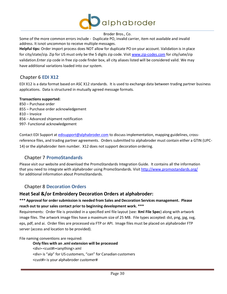

Some of the more common errors include - Duplicate PO, invalid carrier, item not available and invalid address. It isnot uncommon to receive multiple messages.

**Helpful tips:** Order import process does NOT allow for duplicate PO on your account. Validation is in place for city/state/zip. Zip for US must only be the 5 digits zip code. Visi[t www.zip-codes.com](http://www.zip-codes.com/) for city/sate/zip validation.Enter zip code in free zip code finder box, all city aliases listed will be considered valid. We may have additional variations loaded into our system.

## <span id="page-29-0"></span>Chapter 6 **EDI X12**

EDI X12 is a data format based on ASC X12 standards. It is used to exchange data between trading partner business applications. Data is structured in mutually agreed message formats.

#### **Transactions supported:**

 – Purchase order – Purchase order acknowledgement – Invoice – Advanced shipment notification 997- Functional acknowledgement

Contact EDI Support at [edisupport@alphabroder.com](mailto:edisupport@alphabroder.com) to discuss implementation, mapping guidelines, crossreference files, and trading partner agreements. Orders submitted to alphabroder must contain either a GTIN (UPC-14) or the alphabroder item number. X12 does not support decoration ordering.

# Chapter 7 **PromoStandards**

<span id="page-29-1"></span>Please visit our website and download the PromoStandards Integration Guide. It contains all the information that you need to integrate with alphabroder using PromoStandards. Visi[t http://www.promostandards.org/](http://www.promostandards.org/) for additional information about PromoStandards.

# <span id="page-29-2"></span>Chapter 8 **Decoration Orders**

## **Heat Seal &/or Embroidery Decoration Orders at alphabroder:**

## **\*\*\* Approval for ordersubmission is needed from Sales and Decoration Services management. Please reach out to your sales contact prior to beginning development work. \*\*\***

Requirements: Order file is provided in a specified xml file layout (see: **Xml File Spec**) along with artwork image files. The artwork image files have a maximum size of 25 MB. File types accepted: dst, png, jpg, svg, eps, pdf, and ai. Order files are processed via FTP or API. Image files must be placed on alphabroder FTP server (access and location to be provided).

File naming conventions are required:

**Only files with an .xml extension will be processed** <div>-<cust#><anything>.xml <div> is "alp" for US customers, "can" for Canadian customers <cust#> is your alphabroder customer#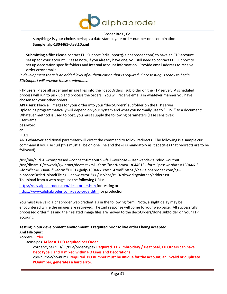

<anything> is your choice, perhaps a date stamp, your order number or a combination **Sample: alp-1304461-ctest10.xml**

**Submitting a file:** Please contact EDI Support (edisupport@alphabroder.com) to have an FTP account set up for your account. Please note, if you already have one, you still need to contact EDI Support to set up decoration specific folders and internal account information. Provide email address to receive order error emails.

*In development there is an added level of authentication that is required. Once testing is ready to begin, EDISupport will provide those credentials.*

**FTP users:** Place all order and image files into the "decoOrders" subfolder on the FTP server. A scheduled process will run to pick up and process the orders. You will receive emails in whatever manner you have chosen for your other orders.

**API users:** Place all images for your order into your "decoOrders" subfolder on the FTP server. Uploading programmatically will depend on your system and what you normally use to "POST" to a document: Whatever method is used to post, you must supply the following parameters (case sensitive):

userName

password

cn

FILE1

AND whatever additional parameter will direct the command to follow redirects. The following is a sample curl command if you use curl (this must all be on one line and the **-L** is mandatory as it specifies that redirects are to be followed):

/usr/bin/curl -L --compressed --connect-timeout 5 --fail --verbose --user webdev:alpdev --output /usr/dbs/rt10/rtbwork/gwintner/dddtest.xml --form "userName=1304461" --form "password=test1304461" --form"cn=1304461" --form ["FILE1=@alp-1304461ctest14.xml"](mailto:FILE1%3D@alp-1304461ctest14.xml) https://dev.alphabroder.com/cgibin/decoOrderUploadFile.cgi --show-error 2>> /usr/dbs/rt10/rtbwork/gwintner/ddderr.txt To upload from a web page use the following URLs:

[https://dev.alphabroder.com/deco-order.htm f](https://dev.alphabroder.com/deco-order.htm)or testing or

<https://www.alphabroder.com/deco-order.htm> for production.

You must use valid alphabroder web credentials in the following form. Note, a slight delay may be encountered while the images are retrieved. The xml response will come to your web page. All successfully processed order files and their related image files are moved to the decoOrders/done subfolder on your FTP account.

**Testing in our development environment is required prior to live orders being accepted.**

**Xml File Spec:**

<order> Order

<cust-po> **At least 1 PO required per Order.**

<order-type>"EH/SP/BL</order-type> **Required. EH=Embroidery / Heat Seal, EH Orders can have DecoType E and H mixed within PO Lines and Decorations.**

<po-num></po-num> **Required. PO number must be unique for the account, an invalid or duplicate POnumber, generates a hard error.**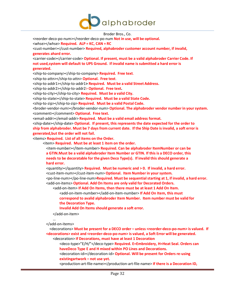

<reorder-deco-po-num></reorder-deco-po-num **Not in use, will be optional.** <whse></whse> **Required. ALP = KC, CAN = RC** <cust-number></cust-number> **Required, alphabroder customer account number, if invalid, generates ahard error.** <carrier-code></carrier-code> **Optional. If present, must be a valid alphabroder Carrier Code. If not used,system will default to UPS Ground. If invalid name issubmitted a hard error is generated.** <ship-to-company></ship-to-company> **Required. Free text**. <ship-to-attn></ship-to-attn> **Optional. Free text**. <ship-to-addr1></ship-to-addr1**> Required. Must be a valid Street Address.** <ship-to-addr2></ship-to-addr2> **Optional. Free text.** <ship-to-city></ship-to-city> **Required. Must be a valid City.** <ship-to-state></ship-to-state> **Required. Must be a valid State Code.** <ship-to-zip></ship-to-zip> **Required. Must be a valid Postal Code.** <broder-vendor-num></broder-vendor-num> **Optional. The alphabroder vendor number in yoursystem.** <comment></comment> **Optional. Free text.** <email-addr></email-addr> **Required. Must be a valid email address format.** <ship-date></ship-date> **Optional. If present, this represents the date expected for the order to ship from alphabroder. Must be 7 daysfrom current date. If the Ship Date isinvalid, a soft error is generated,but the order will not fail.** <items> **Required. List of all items on the Order.** <item> **Required. Must be at least 1 item on the order.** <item-number></item-number> **Required. Can be alphabroder ItemNumber or can be a GTIN.Must be a valid alphabroder Item Number or GTIN. If this is a DECO order, this needs to be decoratable for the given Deco Type(s). If invalid this should generate a hard error.** <quantity></quantity> **Required. Must be numeric and > 0. If invalid, a hard error.** <cust-item-num></cust-item-num> **Optional. Item Number in yoursystem.** <po-line-num></po-line-num>**Required. Must be sequentialstarting at 1, if invalid, a hard error.** <add-on-items> **Optional. Add On Items are only valid for Decorated Orders.** <add-on-item> **If Add On Items, then there must be at least 1 Add On Item.** <add-on-item-number></add-on-item-number> **If Add On Item, this must correspond to avalid alphabroder Item Number. Item number must be valid for**

**the Decoration Type.**

**Invalid Add On Items should generate a soft error.**

</add-on-item>

… </add-on-items>

<decorations> **Must be present for a DECO order – unless <reorder-deco-po-num> is valued. If <decorations> exist and <reorder-deco-po-num> is valued, a Soft Error will be generated.** <decoration> **If Decorations, must have at least 1 Decoration**

<deco-type>"E/H/"</deco-type> **Required. E=Embroidery, H=Heat Seal. Orders can haveDeco Type E and H mixed within PO Lines and Decorations.**

<decoration-id></decoration-id> **Optional. Will be present for Orders re-using existingartwork – not use yet.**

<production-art-file-name></production-art-file-name> **If there is a Decoration ID,**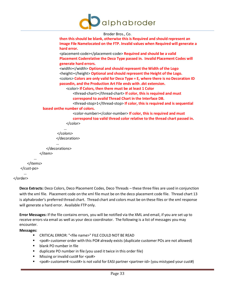

```
Broder Bros., Co.
                      then thisshould be blank, otherwise this is Required and should represent an
                       Image File Namelocated on the FTP. Invalid values when Required will generate a
                      hard error.
                       <placement-code></placement-code> Required and should be a valid 
                       Placement Coderelative the Deco Type passed in. Invalid Placement Codes will
                      generate hard errors.
                       <width></width> Optional and should represent the Width of the Logo
                       <height></height> Optional and should represent the Height of the Logo.
                       <colors> Colors are only valid for Deco Type = E, where there is no Decoration ID
                      passedin, and the Production Art File ends with .dst extension.
                          <color> If Colors, then there must be at least 1 Color
                              <thread-chart></thread-chart> If color, this is required and must 
                              correspond to avalid Thread Chart in the Interface DB.
                              <thread-stop>1</thread-stop> If color, this is required and is sequential 
             based onthe number of colors.
                              <color-number></color-number> If color, this is required and must 
                              correspond toa valid thread color relative to the thread chart passed in.
                           </color>
                         …
                     </colors>
                    </decoration>
                     …
               </decorations>
           </item>
        …
   </items>
</cust-po>
  …
```

```
</order>
```
**Deco Extracts:** Deco Colors, Deco Placement Codes, Deco Threads – these three files are used in conjunction with the xml file. Placement code on the xml file must be on the deco placement code file. Thread chart 13 is alphabroder's preferred thread chart. Thread chart and colors must be on these files or the xml response will generate a hard error. Available FTP only.

**Error Messages:** If the file contains errors, you will be notified via the XML and email, if you are set up to receive errors via email as well as your deco coordinator. The following is a list of messages you may encounter.

#### **Messages:**

- CRITICAL ERROR: "<file name>" FILE COULD NOT BE READ
- <po#> customer order with this PO# already exists (duplicate customer POs are not allowed)
- blank PO number in file
- duplicate PO number in file (you used it twice in this order file)
- Missing or invalid cust# for  $\langle$  po# $\rangle$
- <po#> customer# <cust#> is not valid for EASI partner <partner-id> (you mistyped your cust#)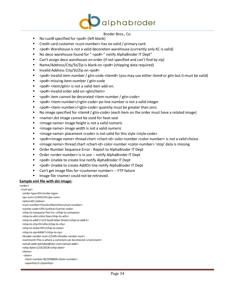

- No cust# specified for <po#> (left blank)
- Credit card customer <cust-number> has no valid / primary card.
- <po#> Warehouse is not a valid decoration warehouse (currently only KC is valid)
- No deco warehouse found for " <po#> " notify AlphaBroder IT Dept"
- Can't assign deco warehouse on order (if not specified and can't find by zip)
- Name/Address/City/St/Zip is blank on <po#> (shipping data required)
- Invalid Address City/St/Zip on <po#>
- <po#> Invalid item-number / gtin-code <item#> (you may use either item# or gtin but it must be valid)
- <po#> missing item-number / gtin-code
- <po#> <item/gtin> is not a valid item add-on.
- <po#> Invalid order add-on <gtin/item>
- <po#> item cannot be decorated <item-number / gtin-code>
- <po#> <item-number>/<gtin-code> po-line number is not a valid integer
- <po#> <item-number>/<gtin-code> quantity must be greater than zero
- No image specified for <item# / gtin-code> (each item on the order must have a related image)
- <name>.dst image cannot be used for heat-seal
- <image name> image height is not a valid numeric
- <image name> image width is not a valid numeric
- <image name> placement <code> is not valid for this style <style-code>
- <po#><image name> thread chart <chart-id> color-number <color-number> is not a valid choice.
- <image name> thread chart <chart-id> color-number <color-number> 'stop' data is missing
- Order Number Sequence Error Report to AlphaBroder IT Dept
- Order <order-number> is in use -- notify AlphaBroder IT Dept
- <po#> Unable to create line notify AlphaBroder IT Dept
- <po#> Unable to create AddOn line notify AlphaBroder IT Dept
- Can't get image files for <customer number> -- FTP failure
- Image file <name> could not be retrieved.

#### **Sample xml file with dst image:**

<order> <cust-po> <order-type>EH</order-type> <po-num>12345219</po-num> <whse>KC</whse> <cust-number>YourAcctNumHere</cust-number> <carrier-code>UPS-Surface</carrier-code> <ship-to-company>Test Inc.</ship-to-company> <ship-to-attn>John Doe</ship-to-attn> <ship-to-addr1>123 South Main Street</ship-to-addr1> <ship-to-city>Orrville</ship-to-city> <ship-to-state>OH</ship-to-state> <ship-to-zip>44667</ship-to-zip> <broder-vendor-num>12345</broder-vendor-num> <comment>This is where a comment can be entered.</comment> <email-addr[>johndoe@test.com<](mailto:johndoe@test.com)/email-addr> <ship-date>1/16/2018</ship-date> <items> <item> <item-number>B21058004</item-number> <quantity>1</quantity>